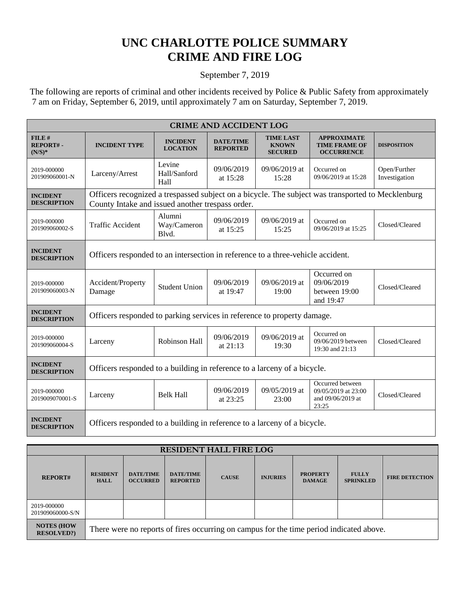## **UNC CHARLOTTE POLICE SUMMARY CRIME AND FIRE LOG**

## September 7, 2019

 The following are reports of criminal and other incidents received by Police & Public Safety from approximately 7 am on Friday, September 6, 2019, until approximately 7 am on Saturday, September 7, 2019.

| <b>CRIME AND ACCIDENT LOG</b>         |                                                                                                                                                       |                                    |                                     |                                                    |                                                                       |                               |  |  |
|---------------------------------------|-------------------------------------------------------------------------------------------------------------------------------------------------------|------------------------------------|-------------------------------------|----------------------------------------------------|-----------------------------------------------------------------------|-------------------------------|--|--|
| $FILE$ #<br>REPORT#-<br>$(N/S)*$      | <b>INCIDENT TYPE</b>                                                                                                                                  | <b>INCIDENT</b><br><b>LOCATION</b> | <b>DATE/TIME</b><br><b>REPORTED</b> | <b>TIME LAST</b><br><b>KNOWN</b><br><b>SECURED</b> | <b>APPROXIMATE</b><br><b>TIME FRAME OF</b><br><b>OCCURRENCE</b>       | <b>DISPOSITION</b>            |  |  |
| 2019-000000<br>201909060001-N         | Larceny/Arrest                                                                                                                                        | Levine<br>Hall/Sanford<br>Hall     | 09/06/2019<br>at 15:28              | 09/06/2019 at<br>15:28                             | Occurred on<br>09/06/2019 at 15:28                                    | Open/Further<br>Investigation |  |  |
| <b>INCIDENT</b><br><b>DESCRIPTION</b> | Officers recognized a trespassed subject on a bicycle. The subject was transported to Mecklenburg<br>County Intake and issued another trespass order. |                                    |                                     |                                                    |                                                                       |                               |  |  |
| 2019-000000<br>201909060002-S         | <b>Traffic Accident</b>                                                                                                                               | Alumni<br>Way/Cameron<br>Blvd.     | 09/06/2019<br>at 15:25              | 09/06/2019 at<br>15:25                             | Occurred on<br>09/06/2019 at 15:25                                    | Closed/Cleared                |  |  |
| <b>INCIDENT</b><br><b>DESCRIPTION</b> | Officers responded to an intersection in reference to a three-vehicle accident.                                                                       |                                    |                                     |                                                    |                                                                       |                               |  |  |
| 2019-000000<br>201909060003-N         | Accident/Property<br>Damage                                                                                                                           | <b>Student Union</b>               | 09/06/2019<br>at 19:47              | 09/06/2019 at<br>19:00                             | Occurred on<br>09/06/2019<br>between 19:00<br>and 19:47               | Closed/Cleared                |  |  |
| <b>INCIDENT</b><br><b>DESCRIPTION</b> | Officers responded to parking services in reference to property damage.                                                                               |                                    |                                     |                                                    |                                                                       |                               |  |  |
| 2019-000000<br>201909060004-S         | Larceny                                                                                                                                               | Robinson Hall                      | 09/06/2019<br>at $21:13$            | 09/06/2019 at<br>19:30                             | Occurred on<br>09/06/2019 between<br>19:30 and 21:13                  | Closed/Cleared                |  |  |
| <b>INCIDENT</b><br><b>DESCRIPTION</b> | Officers responded to a building in reference to a larceny of a bicycle.                                                                              |                                    |                                     |                                                    |                                                                       |                               |  |  |
| 2019-000000<br>2019009070001-S        | Larceny                                                                                                                                               | <b>Belk Hall</b>                   | 09/06/2019<br>at 23:25              | 09/05/2019 at<br>23:00                             | Occurred between<br>09/05/2019 at 23:00<br>and 09/06/2019 at<br>23:25 | Closed/Cleared                |  |  |
| <b>INCIDENT</b><br><b>DESCRIPTION</b> | Officers responded to a building in reference to a larceny of a bicycle.                                                                              |                                    |                                     |                                                    |                                                                       |                               |  |  |

| <b>RESIDENT HALL FIRE LOG</b>          |                                                                                         |                                     |                                     |              |                 |                                  |                                  |                       |
|----------------------------------------|-----------------------------------------------------------------------------------------|-------------------------------------|-------------------------------------|--------------|-----------------|----------------------------------|----------------------------------|-----------------------|
| <b>REPORT#</b>                         | <b>RESIDENT</b><br><b>HALL</b>                                                          | <b>DATE/TIME</b><br><b>OCCURRED</b> | <b>DATE/TIME</b><br><b>REPORTED</b> | <b>CAUSE</b> | <b>INJURIES</b> | <b>PROPERTY</b><br><b>DAMAGE</b> | <b>FULLY</b><br><b>SPRINKLED</b> | <b>FIRE DETECTION</b> |
| 2019-000000<br>201909060000-S/N        |                                                                                         |                                     |                                     |              |                 |                                  |                                  |                       |
| <b>NOTES (HOW</b><br><b>RESOLVED?)</b> | There were no reports of fires occurring on campus for the time period indicated above. |                                     |                                     |              |                 |                                  |                                  |                       |